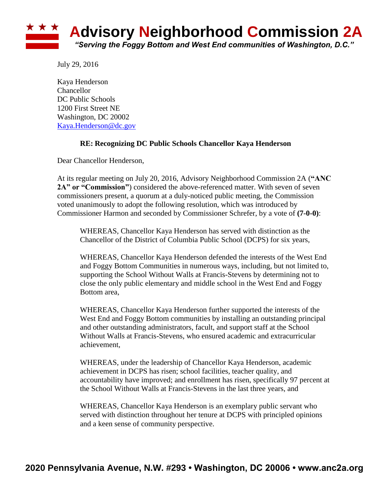

July 29, 2016

Kaya Henderson **Chancellor** DC Public Schools 1200 First Street NE Washington, DC 20002 [Kaya.Henderson@dc.gov](mailto:Kaya.Henderson@dc.gov)

## **RE: Recognizing DC Public Schools Chancellor Kaya Henderson**

Dear Chancellor Henderson,

At its regular meeting on July 20, 2016, Advisory Neighborhood Commission 2A (**"ANC 2A" or "Commission"**) considered the above-referenced matter. With seven of seven commissioners present, a quorum at a duly-noticed public meeting, the Commission voted unanimously to adopt the following resolution, which was introduced by Commissioner Harmon and seconded by Commissioner Schrefer, by a vote of **(7-0-0)**:

WHEREAS, Chancellor Kaya Henderson has served with distinction as the Chancellor of the District of Columbia Public School (DCPS) for six years,

WHEREAS, Chancellor Kaya Henderson defended the interests of the West End and Foggy Bottom Communities in numerous ways, including, but not limited to, supporting the School Without Walls at Francis-Stevens by determining not to close the only public elementary and middle school in the West End and Foggy Bottom area,

WHEREAS, Chancellor Kaya Henderson further supported the interests of the West End and Foggy Bottom communities by installing an outstanding principal and other outstanding administrators, facult, and support staff at the School Without Walls at Francis-Stevens, who ensured academic and extracurricular achievement,

WHEREAS, under the leadership of Chancellor Kaya Henderson, academic achievement in DCPS has risen; school facilities, teacher quality, and accountability have improved; and enrollment has risen, specifically 97 percent at the School Without Walls at Francis-Stevens in the last three years, and

WHEREAS, Chancellor Kaya Henderson is an exemplary public servant who served with distinction throughout her tenure at DCPS with principled opinions and a keen sense of community perspective.